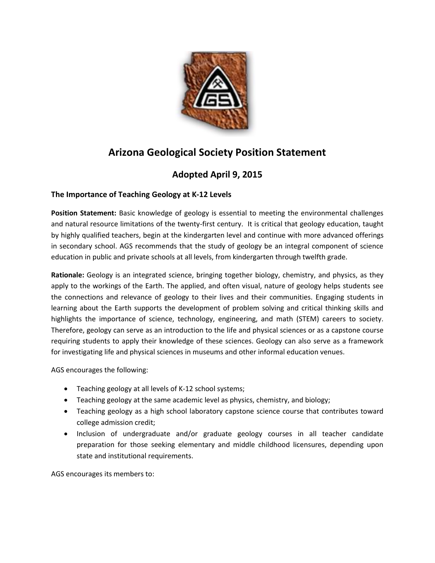

## **Arizona Geological Society Position Statement**

## **Adopted April 9, 2015**

## **The Importance of Teaching Geology at K-12 Levels**

**Position Statement:** Basic knowledge of geology is essential to meeting the environmental challenges and natural resource limitations of the twenty-first century. It is critical that geology education, taught by highly qualified teachers, begin at the kindergarten level and continue with more advanced offerings in secondary school. AGS recommends that the study of geology be an integral component of science education in public and private schools at all levels, from kindergarten through twelfth grade.

**Rationale:** Geology is an integrated science, bringing together biology, chemistry, and physics, as they apply to the workings of the Earth. The applied, and often visual, nature of geology helps students see the connections and relevance of geology to their lives and their communities. Engaging students in learning about the Earth supports the development of problem solving and critical thinking skills and highlights the importance of science, technology, engineering, and math (STEM) careers to society. Therefore, geology can serve as an introduction to the life and physical sciences or as a capstone course requiring students to apply their knowledge of these sciences. Geology can also serve as a framework for investigating life and physical sciences in museums and other informal education venues.

AGS encourages the following:

- Teaching geology at all levels of K-12 school systems;
- Teaching geology at the same academic level as physics, chemistry, and biology;
- Teaching geology as a high school laboratory capstone science course that contributes toward college admission credit;
- Inclusion of undergraduate and/or graduate geology courses in all teacher candidate preparation for those seeking elementary and middle childhood licensures, depending upon state and institutional requirements.

AGS encourages its members to: